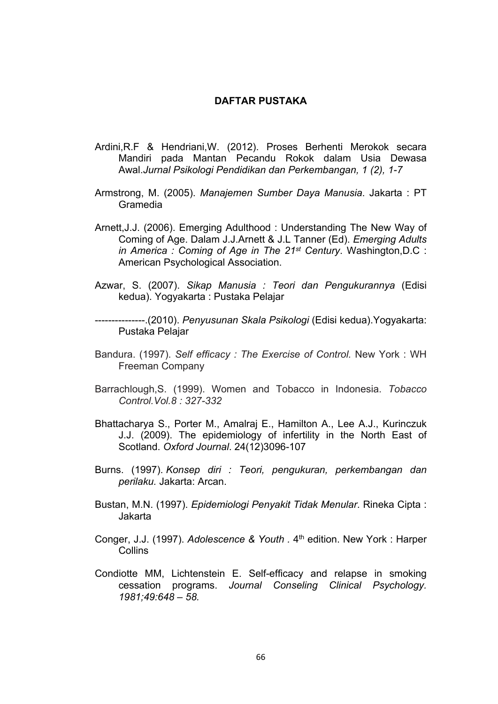## **DAFTAR PUSTAKA**

- Ardini,R.F & Hendriani,W. (2012). Proses Berhenti Merokok secara Mandiri pada Mantan Pecandu Rokok dalam Usia Dewasa Awal.*Jurnal Psikologi Pendidikan dan Perkembangan, 1 (2), 1-7*
- Armstrong, M. (2005). *Manajemen Sumber Daya Manusia*. Jakarta : PT Gramedia
- Arnett,J.J. (2006). Emerging Adulthood : Understanding The New Way of Coming of Age. Dalam J.J.Arnett & J.L Tanner (Ed). *Emerging Adults in America : Coming of Age in The 21st Century*. Washington,D.C : American Psychological Association.
- Azwar, S. (2007). *Sikap Manusia : Teori dan Pengukurannya* (Edisi kedua). Yogyakarta : Pustaka Pelajar
- ---------------.(2010). *Penyusunan Skala Psikologi* (Edisi kedua).Yogyakarta: Pustaka Pelajar
- Bandura. (1997). *Self efficacy : The Exercise of Control.* New York : WH Freeman Company
- Barrachlough,S. (1999). Women and Tobacco in Indonesia. *Tobacco Control.Vol.8 : 327-332*
- Bhattacharya S., Porter M., Amalraj E., Hamilton A., Lee A.J., Kurinczuk J.J. (2009). The epidemiology of infertility in the North East of Scotland. *Oxford Journal*. 24(12)3096-107
- Burns. (1997). *Konsep diri : Teori, pengukuran, perkembangan dan perilaku.* Jakarta: Arcan.
- Bustan, M.N. (1997). *Epidemiologi Penyakit Tidak Menular*. Rineka Cipta : Jakarta
- Conger, J.J. (1997). *Adolescence & Youth .* 4 th edition. New York : Harper **Collins**
- Condiotte MM, Lichtenstein E. Self-efficacy and relapse in smoking cessation programs. *Journal Conseling Clinical Psychology. 1981;49:648 – 58.*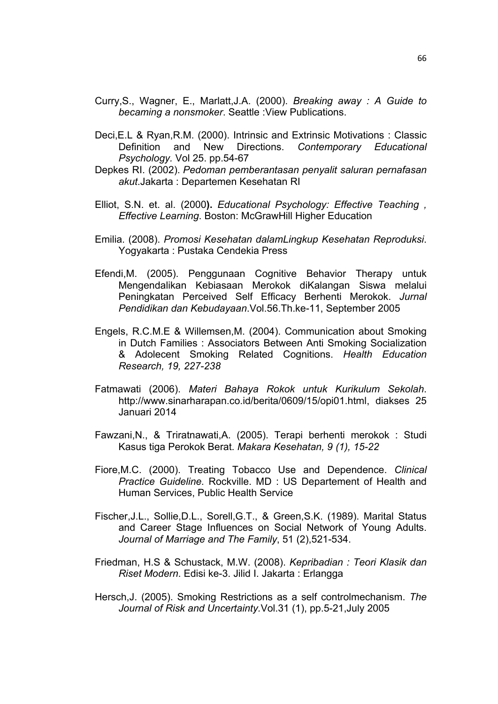- Curry,S., Wagner, E., Marlatt,J.A. (2000). *Breaking away : A Guide to becaming a nonsmoker*. Seattle :View Publications.
- Deci,E.L & Ryan,R.M. (2000). Intrinsic and Extrinsic Motivations : Classic Definition and New Directions. *Contemporary Educational Psychology.* Vol 25. pp.54-67
- Depkes RI. (2002). *Pedoman pemberantasan penyalit saluran pernafasan akut*.Jakarta : Departemen Kesehatan RI
- Elliot, S.N. et. al. (2000**).** *Educational Psychology: Effective Teaching , Effective Learning*. Boston: McGrawHill Higher Education
- Emilia. (2008). *Promosi Kesehatan dalamLingkup Kesehatan Reproduksi*. Yogyakarta : Pustaka Cendekia Press
- Efendi,M. (2005). Penggunaan Cognitive Behavior Therapy untuk Mengendalikan Kebiasaan Merokok diKalangan Siswa melalui Peningkatan Perceived Self Efficacy Berhenti Merokok. *Jurnal Pendidikan dan Kebudayaan*.Vol.56.Th.ke-11, September 2005
- Engels, R.C.M.E & Willemsen,M. (2004). Communication about Smoking in Dutch Families : Associators Between Anti Smoking Socialization & Adolecent Smoking Related Cognitions. *Health Education Research, 19, 227-238*
- Fatmawati (2006). *Materi Bahaya Rokok untuk Kurikulum Sekolah*. [http://www.sinarharapan.co.id/berita/0609/15/opi01.html,](http://www.sinarharapan.co.id/berita/0609/15/opi01.html) diakses 25 Januari 2014
- Fawzani,N., & Triratnawati,A. (2005). Terapi berhenti merokok : Studi Kasus tiga Perokok Berat. *Makara Kesehatan, 9 (1), 15-22*
- Fiore,M.C. (2000). Treating Tobacco Use and Dependence. *Clinical Practice Guideline.* Rockville. MD : US Departement of Health and Human Services, Public Health Service
- Fischer,J.L., Sollie,D.L., Sorell,G.T., & Green,S.K. (1989). Marital Status and Career Stage Influences on Social Network of Young Adults. *Journal of Marriage and The Family*, 51 (2),521-534.
- Friedman, H.S & Schustack, M.W. (2008). *Kepribadian : Teori Klasik dan Riset Modern*. Edisi ke-3. Jilid I. Jakarta : Erlangga
- Hersch,J. (2005). Smoking Restrictions as a self controlmechanism. *The Journal of Risk and Uncertainty.*Vol.31 (1), pp.5-21,July 2005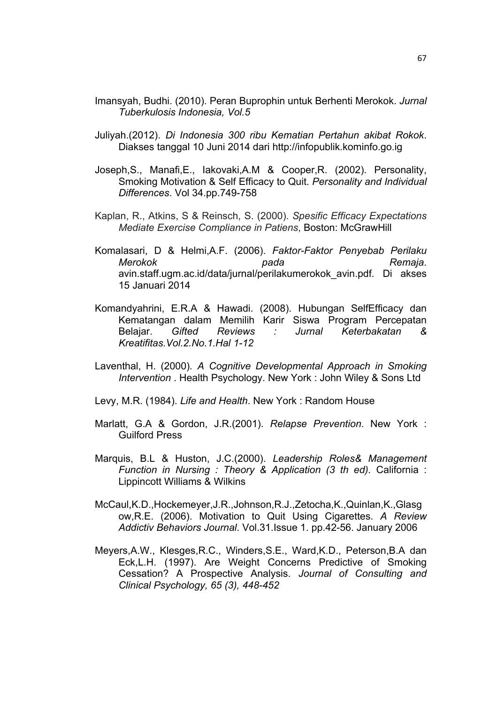- Imansyah, Budhi. (2010). Peran Buprophin untuk Berhenti Merokok. *Jurnal Tuberkulosis Indonesia, Vol.5*
- Juliyah.(2012). *Di Indonesia 300 ribu Kematian Pertahun akibat Rokok*. Diakses tanggal 10 Juni 2014 dari <http://infopublik.kominfo.go.ig>
- Joseph,S., Manafi,E., Iakovaki,A.M & Cooper,R. (2002). Personality, Smoking Motivation & Self Efficacy to Quit. *Personality and Individual Differences*. Vol 34.pp.749-758
- Kaplan, R., Atkins, S & Reinsch, S. (2000). *Spesific Efficacy Expectations Mediate Exercise Compliance in Patiens*, Boston: McGrawHill
- Komalasari, D & Helmi,A.F. (2006). *Faktor-Faktor Penyebab Perilaku Merokok pada Remaja*. avin.staff.ugm.ac.id/data/jurnal/perilakumerokok\_avin.pdf. Di akses 15 Januari 2014
- Komandyahrini, E.R.A & Hawadi. (2008). Hubungan SelfEfficacy dan Kematangan dalam Memilih Karir Siswa Program Percepatan Belajar. *Gifted Reviews : Jurnal Keterbakatan & Kreatifitas.Vol.2.No.1.Hal 1-12*
- Laventhal, H. (2000)*. A Cognitive Developmental Approach in Smoking Intervention* . Health Psychology. New York : John Wiley & Sons Ltd
- Levy, M.R. (1984). *Life and Health*. New York : Random House
- Marlatt, G.A & Gordon, J.R.(2001). *Relapse Prevention*. New York : Guilford Press
- Marquis, B.L & Huston, J.C.(2000). *Leadership Roles& Management Function in Nursing : Theory & Application (3 th ed).* California : Lippincott Williams & Wilkins
- McCaul,K.D.,Hockemeyer,J.R.,Johnson,R.J.,Zetocha,K.,Quinlan,K.,Glasg ow,R.E. (2006). Motivation to Quit Using Cigarettes. *A Review Addictiv Behaviors Journal*. Vol.31.Issue 1. pp.42-56. January 2006
- Meyers,A.W., Klesges,R.C., Winders,S.E., Ward,K.D., Peterson,B.A dan Eck,L.H. (1997). Are Weight Concerns Predictive of Smoking Cessation? A Prospective Analysis. *Journal of Consulting and Clinical Psychology, 65 (3), 448-452*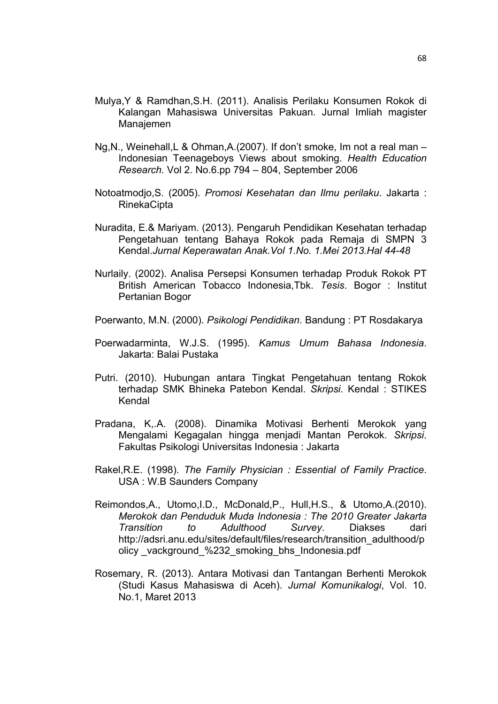- Mulya,Y & Ramdhan,S.H. (2011). Analisis Perilaku Konsumen Rokok di Kalangan Mahasiswa Universitas Pakuan. Jurnal Imliah magister Manajemen
- Ng,N., Weinehall,L & Ohman,A.(2007). If don't smoke, Im not a real man Indonesian Teenageboys Views about smoking. *Health Education Research.* Vol 2. No.6.pp 794 – 804, September 2006
- Notoatmodjo,S. (2005). *Promosi Kesehatan dan Ilmu perilaku*. Jakarta : RinekaCipta
- Nuradita, E.& Mariyam. (2013). Pengaruh Pendidikan Kesehatan terhadap Pengetahuan tentang Bahaya Rokok pada Remaja di SMPN 3 Kendal.*Jurnal Keperawatan Anak.Vol 1.No. 1.Mei 2013.Hal 44-48*
- Nurlaily. (2002). Analisa Persepsi Konsumen terhadap Produk Rokok PT British American Tobacco Indonesia,Tbk. *Tesis*. Bogor : Institut Pertanian Bogor
- Poerwanto, M.N. (2000). *Psikologi Pendidikan*. Bandung : PT Rosdakarya
- Poerwadarminta, W.J.S. (1995). *Kamus Umum Bahasa Indonesia*. Jakarta: Balai Pustaka
- Putri. (2010). Hubungan antara Tingkat Pengetahuan tentang Rokok terhadap SMK Bhineka Patebon Kendal. *Skripsi*. Kendal : STIKES Kendal
- Pradana, K,.A. (2008). Dinamika Motivasi Berhenti Merokok yang Mengalami Kegagalan hingga menjadi Mantan Perokok. *Skripsi*. Fakultas Psikologi Universitas Indonesia : Jakarta
- Rakel,R.E. (1998). *The Family Physician : Essential of Family Practice*. USA : W.B Saunders Company
- Reimondos,A., Utomo,I.D., McDonald,P., Hull,H.S., & Utomo,A.(2010). *Merokok dan Penduduk Muda Indonesia : The 2010 Greater Jakarta Transition to Adulthood Survey*. Diakses dari http://adsri.anu.edu/sites/default/files/research/transition\_adulthood/p olicy vackground %232 smoking bhs Indonesia.pdf
- Rosemary, R. (2013). Antara Motivasi dan Tantangan Berhenti Merokok (Studi Kasus Mahasiswa di Aceh). *Jurnal Komunikalogi*, Vol. 10. No.1, Maret 2013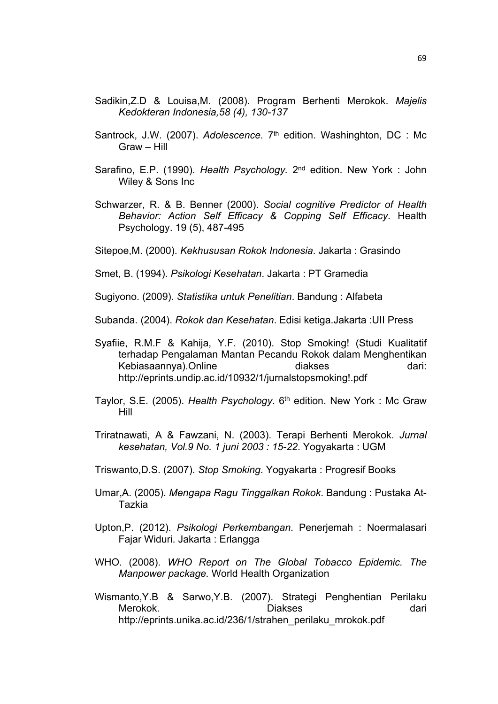- Sadikin,Z.D & Louisa,M. (2008). Program Berhenti Merokok. *Majelis Kedokteran Indonesia,58 (4), 130-137*
- Santrock, J.W. (2007). Adolescence. 7<sup>th</sup> edition. Washinghton, DC: Mc Graw – Hill
- Sarafino, E.P. (1990). Health Psychology. 2<sup>nd</sup> edition. New York: John Wiley & Sons Inc
- Schwarzer, R. & B. Benner (2000). *Social cognitive Predictor of Health Behavior: Action Self Efficacy & Copping Self Efficacy*. Health Psychology. 19 (5), 487-495
- Sitepoe,M. (2000). *Kekhususan Rokok Indonesia*. Jakarta : Grasindo
- Smet, B. (1994). *Psikologi Kesehatan*. Jakarta : PT Gramedia
- Sugiyono. (2009). *Statistika untuk Penelitian*. Bandung : Alfabeta
- Subanda. (2004). *Rokok dan Kesehatan*. Edisi ketiga.Jakarta :UII Press
- Syafiie, R.M.F & Kahija, Y.F. (2010). Stop Smoking! (Studi Kualitatif terhadap Pengalaman Mantan Pecandu Rokok dalam Menghentikan Kebiasaannya).Online diakses dari: <http://eprints.undip.ac.id/10932/1/jurnalstopsmoking!.pdf>
- Taylor, S.E. (2005). *Health Psychology*. 6 th edition. New York : Mc Graw Hill
- Triratnawati, A & Fawzani, N. (2003). Terapi Berhenti Merokok. *Jurnal kesehatan, Vol.9 No. 1 juni 2003 : 15-22*. Yogyakarta : UGM
- Triswanto,D.S. (2007). *Stop Smoking*. Yogyakarta : Progresif Books
- Umar,A. (2005). *Mengapa Ragu Tinggalkan Rokok*. Bandung : Pustaka At-Tazkia
- Upton,P. (2012). *Psikologi Perkembangan*. Penerjemah : Noermalasari Fajar Widuri. Jakarta : Erlangga
- WHO. (2008). *WHO Report on The Global Tobacco Epidemic. The Manpower package.* World Health Organization
- Wismanto,Y.B & Sarwo,Y.B. (2007). Strategi Penghentian Perilaku Merokok. Diakses dari [http://eprints.unika.ac.id/236/1/strahen\\_perilaku\\_mrokok.pdf](http://eprints.unika.ac.id/236/1/strahen_perilaku_mrokok.pdf)